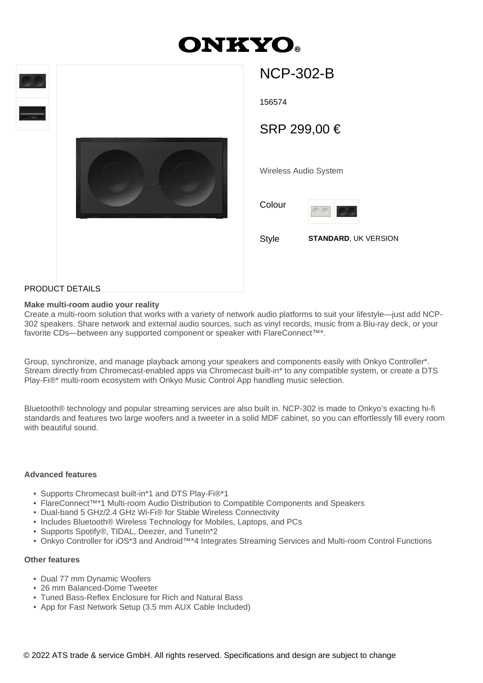# **ONKYO**





# NCP-302-B

156574

SRP 299,00 €

Wireless Audio System

Colour



Style **STANDARD**, UK VERSION

## PRODUCT DETAILS

#### **Make multi-room audio your reality**

Create a multi-room solution that works with a variety of network audio platforms to suit your lifestyle—just add NCP-302 speakers. Share network and external audio sources, such as vinyl records, music from a Blu-ray deck, or your favorite CDs—between any supported component or speaker with FlareConnect<sup>™\*</sup>.

Group, synchronize, and manage playback among your speakers and components easily with Onkyo Controller\*. Stream directly from Chromecast-enabled apps via Chromecast built-in\* to any compatible system, or create a DTS Play-Fi®\* multi-room ecosystem with Onkyo Music Control App handling music selection.

Bluetooth® technology and popular streaming services are also built in. NCP-302 is made to Onkyo's exacting hi-fi standards and features two large woofers and a tweeter in a solid MDF cabinet, so you can effortlessly fill every room with beautiful sound.

#### **Advanced features**

- Supports Chromecast built-in\*1 and DTS Play-Fi®\*1
- FlareConnect™\*1 Multi-room Audio Distribution to Compatible Components and Speakers
- Dual-band 5 GHz/2.4 GHz Wi-Fi® for Stable Wireless Connectivity
- Includes Bluetooth® Wireless Technology for Mobiles, Laptops, and PCs
- Supports Spotify®, TIDAL, Deezer, and TuneIn\*2
- Onkyo Controller for iOS\*3 and Android™\*4 Integrates Streaming Services and Multi-room Control Functions

#### **Other features**

- Dual 77 mm Dynamic Woofers
- 26 mm Balanced-Dome Tweeter
- Tuned Bass-Reflex Enclosure for Rich and Natural Bass
- App for Fast Network Setup (3.5 mm AUX Cable Included)